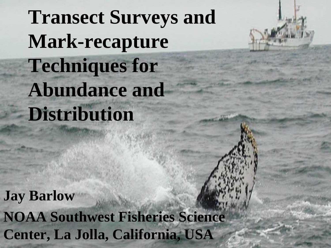# **Transect Surveys and Mark-recapture Techniques for Abundance and Distribution**

**Jay Barlow**

**NOAA Southwest Fisheries Science Center, La Jolla, California, USA**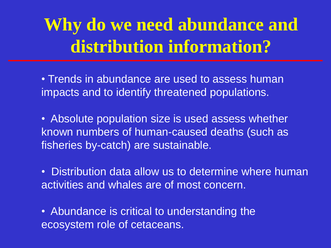## **Why do we need abundance and distribution information?**

• Trends in abundance are used to assess human impacts and to identify threatened populations.

• Absolute population size is used assess whether known numbers of human-caused deaths (such as fisheries by-catch) are sustainable.

• Distribution data allow us to determine where human activities and whales are of most concern.

• Abundance is critical to understanding the ecosystem role of cetaceans.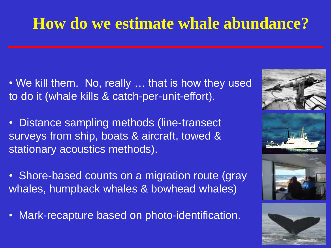## **How do we estimate whale abundance?**

- We kill them. No, really … that is how they used to do it (whale kills & catch-per-unit-effort).
- Distance sampling methods (line-transect surveys from ship, boats & aircraft, towed & stationary acoustics methods).
- Shore-based counts on a migration route (gray whales, humpback whales & bowhead whales)
- Mark-recapture based on photo-identification.







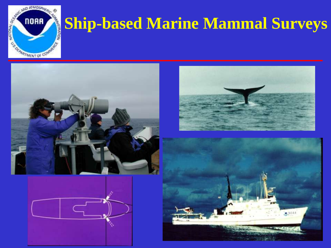

## **Ship-based Marine Mammal Surveys**







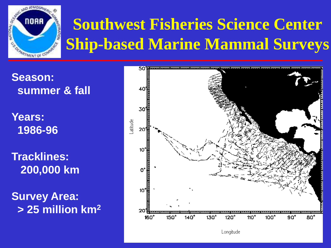

## **Southwest Fisheries Science Center Ship-based Marine Mammal Surveys**

**Season: summer & fall**

**Years: 1986-96**

**Tracklines: 200,000 km**

**Survey Area: > 25 million km2**

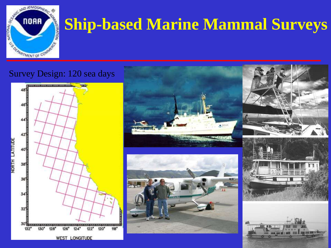

## **Ship-based Marine Mammal Surveys**

#### Survey Design: 120 sea days



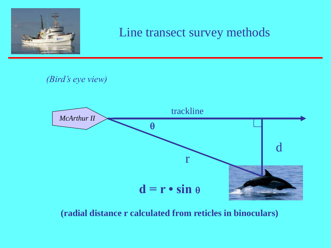

#### Line transect survey methods

*(Bird's eye view)*



**(radial distance r calculated from reticles in binoculars)**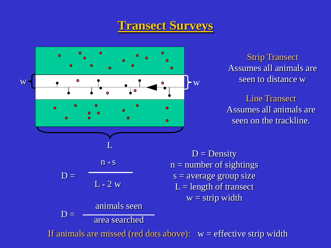#### **Transect Surveys**



Strip Transect Assumes all animals are seen to distance w

Line Transect Assumes all animals are seen on the trackline.

 $D = Density$  $n =$  number of sightings  $s = average$  group size  $L =$  length of transect  $w =$  strip width

If animals are missed (red dots above):  $w =$  effective strip width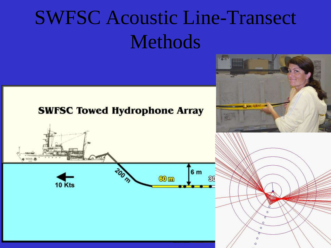## SWFSC Acoustic Line-Transect Methods

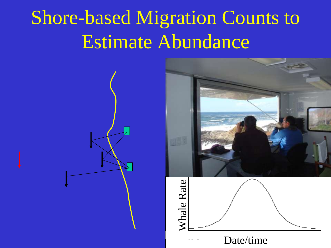## Shore-based Migration Counts to Estimate Abundance

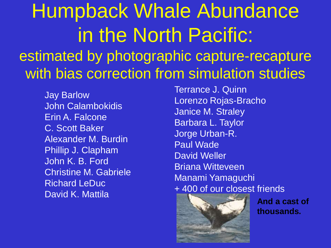## Humpback Whale Abundance in the North Pacific: estimated by photographic capture-recapture with bias correction from simulation studies

Jay Barlow John Calambokidis Erin A. Falcone C. Scott Baker Alexander M. Burdin Phillip J. Clapham John K. B. Ford Christine M. Gabriele Richard LeDuc David K. Mattila

Terrance J. Quinn Lorenzo Rojas-Bracho Janice M. Straley Barbara L. Taylor Jorge Urban-R. Paul Wade David Weller Briana Witteveen Manami Yamaguchi + 400 of our closest friends



**And a cast of thousands.**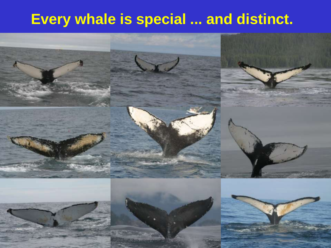### **Every whale is special ... and distinct.**

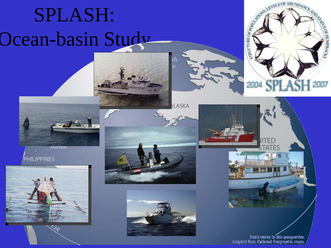# SPLASH: Ocean-basin Study

















Scale varies in this perspective.<br>Adapted from National Geographic maps.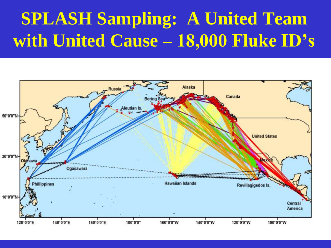## **SPLASH Sampling: A United Team with United Cause – 18,000 Fluke ID's**

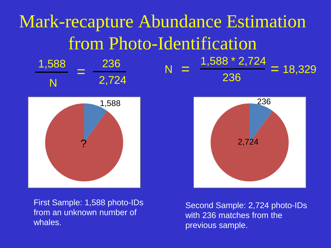#### Mark-recapture Abundance Estimation from Photo-Identification 1,588  $N = 2,724$ 236  $=$   $\frac{200}{2724}$  N 236 1,588 \* 2,724  $=$   $\frac{1,000}{22c}$   $\frac{2,124}{2}$  = 18,329



 $2.72<sup>4</sup>$ 236

First Sample: 1,588 photo-IDs from an unknown number of whales.

Second Sample: 2,724 photo-IDs with 236 matches from the previous sample.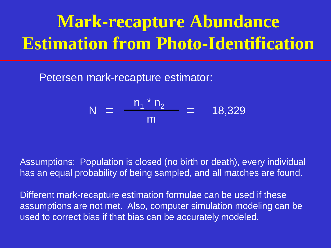## **Mark-recapture Abundance Estimation from Photo-Identification**

Petersen mark-recapture estimator:

$$
N = \frac{n_1 * n_2}{m} = 18,329
$$

Assumptions: Population is closed (no birth or death), every individual has an equal probability of being sampled, and all matches are found.

Different mark-recapture estimation formulae can be used if these assumptions are not met. Also, computer simulation modeling can be used to correct bias if that bias can be accurately modeled.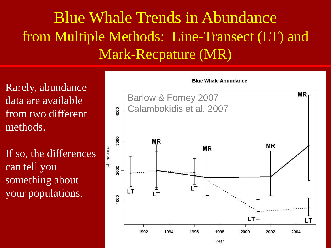### Blue Whale Trends in Abundance from Multiple Methods: Line-Transect (LT) and Mark-Recpature (MR)

Rarely, abundance data are available from two different methods.

If so, the differences can tell you something about your populations.

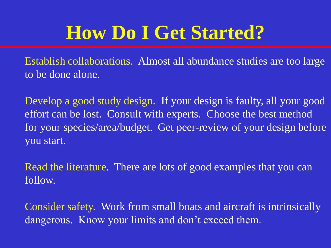## **How Do I Get Started?**

Establish collaborations. Almost all abundance studies are too large to be done alone.

Develop a good study design. If your design is faulty, all your good effort can be lost. Consult with experts. Choose the best method for your species/area/budget. Get peer-review of your design before you start.

Read the literature. There are lots of good examples that you can follow.

Consider safety. Work from small boats and aircraft is intrinsically dangerous. Know your limits and don't exceed them.